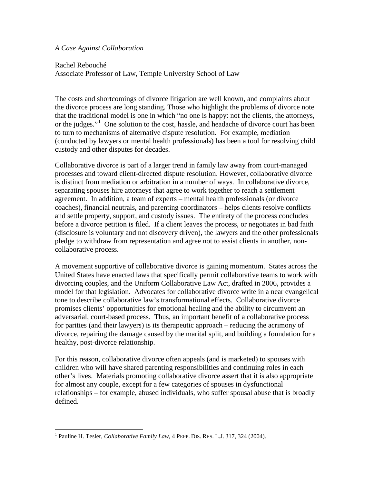## *A Case Against Collaboration*

Rachel Rebouché

Associate Professor of Law, Temple University School of Law

The costs and shortcomings of divorce litigation are well known, and complaints about the divorce process are long standing. Those who highlight the problems of divorce note that the traditional model is one in which "no one is happy: not the clients, the attorneys, or the judges."<sup>[1](#page-0-0)</sup> One solution to the cost, hassle, and headache of divorce court has been to turn to mechanisms of alternative dispute resolution. For example, mediation (conducted by lawyers or mental health professionals) has been a tool for resolving child custody and other disputes for decades.

Collaborative divorce is part of a larger trend in family law away from court-managed processes and toward client-directed dispute resolution. However, collaborative divorce is distinct from mediation or arbitration in a number of ways. In collaborative divorce, separating spouses hire attorneys that agree to work together to reach a settlement agreement. In addition, a team of experts – mental health professionals (or divorce coaches), financial neutrals, and parenting coordinators – helps clients resolve conflicts and settle property, support, and custody issues. The entirety of the process concludes before a divorce petition is filed. If a client leaves the process, or negotiates in bad faith (disclosure is voluntary and not discovery driven), the lawyers and the other professionals pledge to withdraw from representation and agree not to assist clients in another, noncollaborative process.

A movement supportive of collaborative divorce is gaining momentum. States across the United States have enacted laws that specifically permit collaborative teams to work with divorcing couples, and the Uniform Collaborative Law Act, drafted in 2006, provides a model for that legislation. Advocates for collaborative divorce write in a near evangelical tone to describe collaborative law's transformational effects. Collaborative divorce promises clients' opportunities for emotional healing and the ability to circumvent an adversarial, court-based process. Thus, an important benefit of a collaborative process for parities (and their lawyers) is its therapeutic approach – reducing the acrimony of divorce, repairing the damage caused by the marital split, and building a foundation for a healthy, post-divorce relationship.

For this reason, collaborative divorce often appeals (and is marketed) to spouses with children who will have shared parenting responsibilities and continuing roles in each other's lives. Materials promoting collaborative divorce assert that it is also appropriate for almost any couple, except for a few categories of spouses in dysfunctional relationships – for example, abused individuals, who suffer spousal abuse that is broadly defined.

<span id="page-0-0"></span><sup>1</sup> Pauline H. Tesler, *Collaborative Family Law*, 4 PEPP. DIS. RES. L.J. 317, 324 (2004).  $\overline{1}$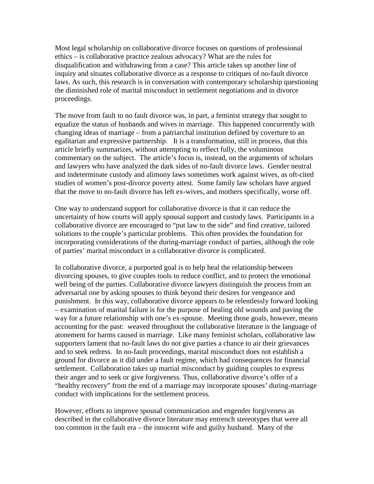Most legal scholarship on collaborative divorce focuses on questions of professional ethics – is collaborative practice zealous advocacy? What are the rules for disqualification and withdrawing from a case? This article takes up another line of inquiry and situates collaborative divorce as a response to critiques of no-fault divorce laws. As such, this research is in conversation with contemporary scholarship questioning the diminished role of marital misconduct in settlement negotiations and in divorce proceedings.

The move from fault to no fault divorce was, in part, a feminist strategy that sought to equalize the status of husbands and wives in marriage. This happened concurrently with changing ideas of marriage – from a patriarchal institution defined by coverture to an egalitarian and expressive partnership. It is a transformation, still in process, that this article briefly summarizes, without attempting to reflect fully, the voluminous commentary on the subject. The article's focus is, instead, on the arguments of scholars and lawyers who have analyzed the dark sides of no-fault divorce laws. Gender neutral and indeterminate custody and alimony laws sometimes work against wives, as oft-cited studies of women's post-divorce poverty attest. Some family law scholars have argued that the move to no-fault divorce has left ex-wives, and mothers specifically, worse off.

One way to understand support for collaborative divorce is that it can reduce the uncertainty of how courts will apply spousal support and custody laws. Participants in a collaborative divorce are encouraged to "put law to the side" and find creative, tailored solutions to the couple's particular problems. This often provides the foundation for incorporating considerations of the during-marriage conduct of parties, although the role of parties' marital misconduct in a collaborative divorce is complicated.

In collaborative divorce, a purported goal is to help heal the relationship between divorcing spouses, to give couples tools to reduce conflict, and to protect the emotional well being of the parties. Collaborative divorce lawyers distinguish the process from an adversarial one by asking spouses to think beyond their desires for vengeance and punishment. In this way, collaborative divorce appears to be relentlessly forward looking – examination of marital failure is for the purpose of healing old wounds and paving the way for a future relationship with one's ex-spouse. Meeting those goals, however, means accounting for the past: weaved throughout the collaborative literature is the language of atonement for harms caused in marriage. Like many feminist scholars, collaborative law supporters lament that no-fault laws do not give parties a chance to air their grievances and to seek redress. In no-fault proceedings, marital misconduct does not establish a ground for divorce as it did under a fault regime, which had consequences for financial settlement. Collaboration takes up martial misconduct by guiding couples to express their anger and to seek or give forgiveness. Thus, collaborative divorce's offer of a "healthy recovery" from the end of a marriage may incorporate spouses' during-marriage conduct with implications for the settlement process.

However, efforts to improve spousal communication and engender forgiveness as described in the collaborative divorce literature may entrench stereotypes that were all too common in the fault era – the innocent wife and guilty husband. Many of the